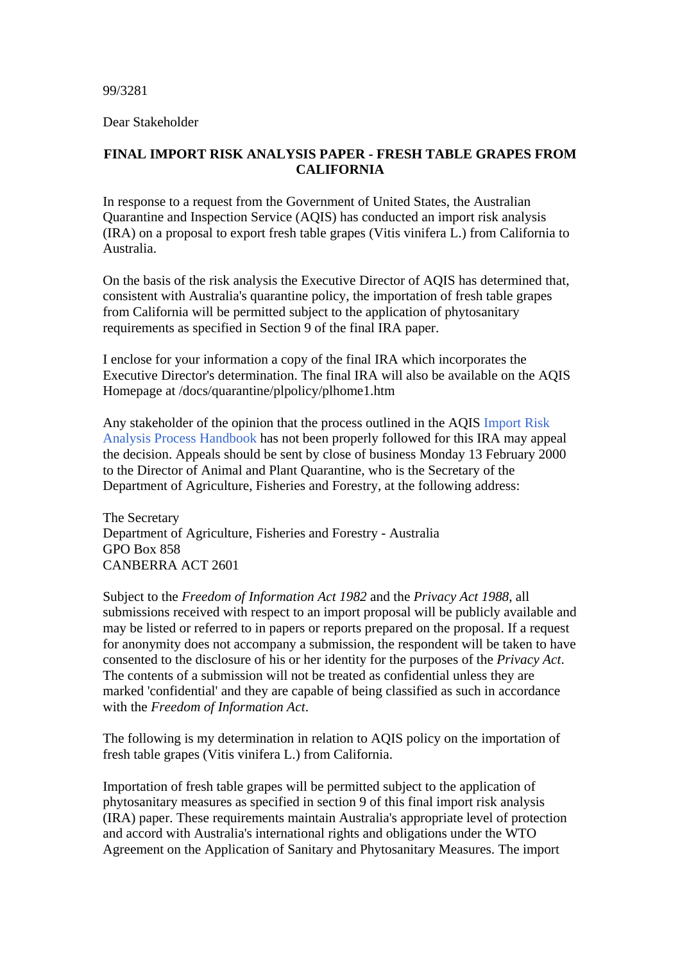99/3281

Dear Stakeholder

## **FINAL IMPORT RISK ANALYSIS PAPER - FRESH TABLE GRAPES FROM CALIFORNIA**

In response to a request from the Government of United States, the Australian Quarantine and Inspection Service (AQIS) has conducted an import risk analysis (IRA) on a proposal to export fresh table grapes (Vitis vinifera L.) from California to Australia.

On the basis of the risk analysis the Executive Director of AQIS has determined that, consistent with Australia's quarantine policy, the importation of fresh table grapes from California will be permitted subject to the application of phytosanitary requirements as specified in Section 9 of the final IRA paper.

I enclose for your information a copy of the final IRA which incorporates the Executive Director's determination. The final IRA will also be available on the AQIS Homepage at /docs/quarantine/plpolicy/plhome1.htm

Any stakeholder of the opinion that the process outlined in the AQIS Import Risk Analysis Process Handbook has not been properly followed for this IRA may appeal the decision. Appeals should be sent by close of business Monday 13 February 2000 to the Director of Animal and Plant Quarantine, who is the Secretary of the Department of Agriculture, Fisheries and Forestry, at the following address:

The Secretary Department of Agriculture, Fisheries and Forestry - Australia GPO Box 858 CANBERRA ACT 2601

Subject to the *Freedom of Information Act 1982* and the *Privacy Act 1988*, all submissions received with respect to an import proposal will be publicly available and may be listed or referred to in papers or reports prepared on the proposal. If a request for anonymity does not accompany a submission, the respondent will be taken to have consented to the disclosure of his or her identity for the purposes of the *Privacy Act*. The contents of a submission will not be treated as confidential unless they are marked 'confidential' and they are capable of being classified as such in accordance with the *Freedom of Information Act*.

The following is my determination in relation to AQIS policy on the importation of fresh table grapes (Vitis vinifera L.) from California.

Importation of fresh table grapes will be permitted subject to the application of phytosanitary measures as specified in section 9 of this final import risk analysis (IRA) paper. These requirements maintain Australia's appropriate level of protection and accord with Australia's international rights and obligations under the WTO Agreement on the Application of Sanitary and Phytosanitary Measures. The import